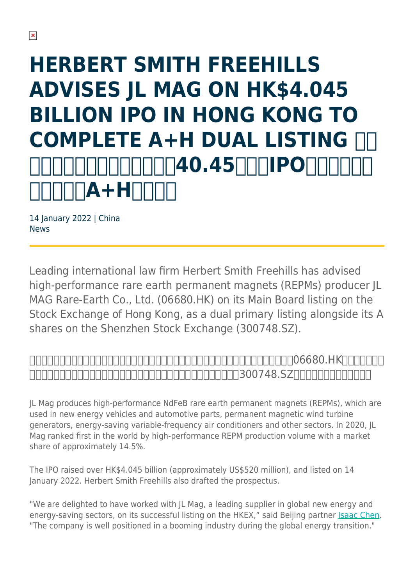# **HERBERT SMITH FREEHILLS ADVISES JL MAG ON HK\$4.045 BILLION IPO IN HONG KONG TO COMPLETE A+H DUAL LISTING**  $\overline{1}\cap$ 40.45 $\overline{ \cap \cap \cap}$ ipo $\overline{ \cap }$ **A+H**

14 January 2022 | China News

Leading international law firm Herbert Smith Freehills has advised high-performance rare earth permanent magnets (REPMs) producer JL MAG Rare-Earth Co., Ltd. (06680.HK) on its Main Board listing on the Stock Exchange of Hong Kong, as a dual primary listing alongside its A shares on the Shenzhen Stock Exchange (300748.SZ).



JL Mag produces high-performance NdFeB rare earth permanent magnets (REPMs), which are used in new energy vehicles and automotive parts, permanent magnetic wind turbine generators, energy-saving variable-frequency air conditioners and other sectors. In 2020, JL Mag ranked first in the world by high-performance REPM production volume with a market share of approximately 14.5%.

The IPO raised over HK\$4.045 billion (approximately US\$520 million), and listed on 14 January 2022. Herbert Smith Freehills also drafted the prospectus.

"We are delighted to have worked with JL Mag, a leading supplier in global new energy and energy-saving sectors, on its successful listing on the HKEX," said Beijing partner [Isaac Chen.](https://www.herbertsmithfreehills.com/our-people/isaac-chen) "The company is well positioned in a booming industry during the global energy transition."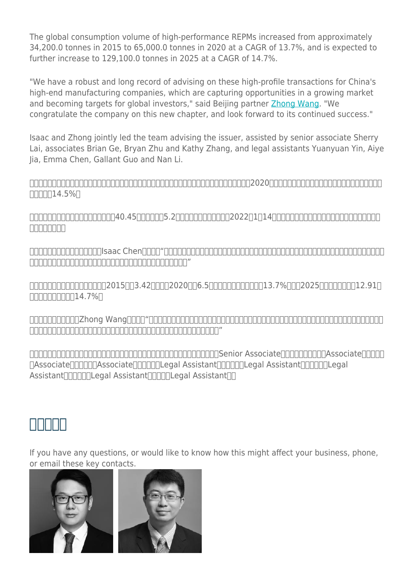The global consumption volume of high-performance REPMs increased from approximately 34,200.0 tonnes in 2015 to 65,000.0 tonnes in 2020 at a CAGR of 13.7%, and is expected to further increase to 129,100.0 tonnes in 2025 at a CAGR of 14.7%.

"We have a robust and long record of advising on these high-profile transactions for China's high-end manufacturing companies, which are capturing opportunities in a growing market and becoming targets for global investors," said Beijing partner [Zhong Wang](https://www.herbertsmithfreehills.com/our-people/zhong-wang). "We congratulate the company on this new chapter, and look forward to its continued success."

Isaac and Zhong jointly led the team advising the issuer, assisted by senior associate Sherry Lai, associates Brian Ge, Bryan Zhu and Kathy Zhang, and legal assistants Yuanyuan Yin, Aiye Jia, Emma Chen, Gallant Guo and Nan Li.

金力永磁生产高性能钕铁硼永磁材料,广泛应用于新能源汽车及汽车零部件、风力发电、节能变频空调等领域。2020年,公司的高性能稀土永磁材料产量位居全球第一,市场  $\Pi\Pi\Pi\Pi14.5\%$ 

 $\Box$ הרוחה החרות החרות החרות במבני 140.222 ביותר החרות הכל 16.0.45 ביותר החרות החרות החרות החרות החרות החרות ה 市撰写了招股书。

史密夫斐尔北京办公室合伙人陈敏(Isaac Chen)表示:"金力永磁是全球新能源和节能环保领域核心应用材料的领先供应商,我们非常荣幸为其在港交所上市提供助力。  $\Box$ 

市面面面面面面面面面面2015同3.42000020006.50000000000013.7%0002025000000012.910  $\Pi\Pi\Pi\Pi\Pi\Pi\Pi\Pi\Pi$ 14.7% $\Pi$ 

北京办公室合伙人王重(Zhong Wang)表示:"中国高新技术制造企业正在快速发展的市场中捕捉机会并受到全球投资者的追捧,史密夫斐尔在为其高规格交易提供法  $\begin{bmatrix} \begin{bmatrix} \begin{bmatrix} \begin{bmatrix} \begin{bmatrix} \begin{bmatrix} \begin{bmatrix} \begin{bmatrix} \begin{bmatrix} \begin{bmatrix} \begin{bmatrix} \begin{bmatrix} \begin{bmatrix} \begin{bmatrix} \begin{bmatrix} \begin{bmatrix} \begin{bmatrix} \begin{bmatrix} \begin{bmatrix} \begin{bmatrix} \begin{bmatrix} \begin{bmatrix} \begin{bmatrix} \begin{bmatrix} \begin{bmatrix} \begin{bmatrix} \begin{bmatrix} \begin{bmatrix} \begin{bmatrix} \begin{bmatrix} \begin{bmatrix} \begin{bmatrix} \begin{bmatrix} \begin{bmatrix} \begin{bmatrix} \begin{bmatrix} \begin{b$ 

合伙人陈敏和王重率领律师团队为发行人提供法律服务。主要团队成员包括香港办公室黎翠芬(Senior Associate)、北京办公室葛轶(Associate)、朱步凡 (Associate)、张凯西(Associate)、尹圆圆(Legal Assistant)、贾瑷烨(Legal Assistant)、陈阿婷(Legal Assistant∏∏∏∏Legal Assistant∏∏∏∏Legal Assistant∏∏

## **主要联系人**

If you have any questions, or would like to know how this might affect your business, phone, or email these key contacts.